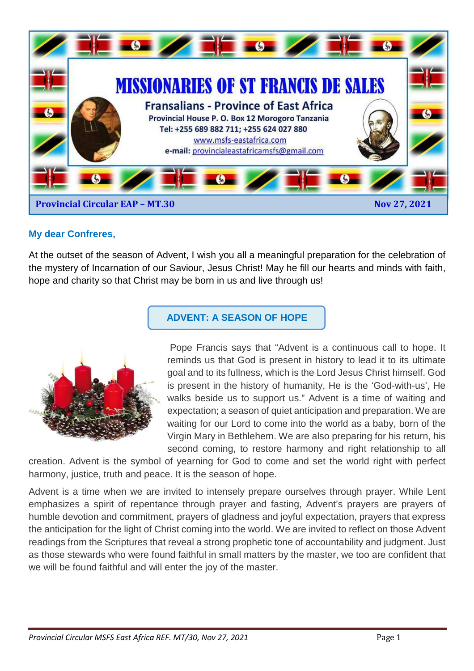

## **My dear Confreres,**

At the outset of the season of Advent, I wish you all a meaningful preparation for the celebration of the mystery of Incarnation of our Saviour, Jesus Christ! May he fill our hearts and minds with faith, hope and charity so that Christ may be born in us and live through us!



# **ADVENT: A SEASON OF HOPE**

 Pope Francis says that "Advent is a continuous call to hope. It reminds us that God is present in history to lead it to its ultimate goal and to its fullness, which is the Lord Jesus Christ himself. God is present in the history of humanity, He is the 'God-with-us', He walks beside us to support us." Advent is a time of waiting and expectation; a season of quiet anticipation and preparation. We are waiting for our Lord to come into the world as a baby, born of the Virgin Mary in Bethlehem. We are also preparing for his return, his second coming, to restore harmony and right relationship to all

creation. Advent is the symbol of yearning for God to come and set the world right with perfect harmony, justice, truth and peace. It is the season of hope.

Advent is a time when we are invited to intensely prepare ourselves through prayer. While Lent emphasizes a spirit of repentance through prayer and fasting, Advent's prayers are prayers of humble devotion and commitment, prayers of gladness and joyful expectation, prayers that express the anticipation for the light of Christ coming into the world. We are invited to reflect on those Advent readings from the Scriptures that reveal a strong prophetic tone of accountability and judgment. Just as those stewards who were found faithful in small matters by the master, we too are confident that we will be found faithful and will enter the joy of the master.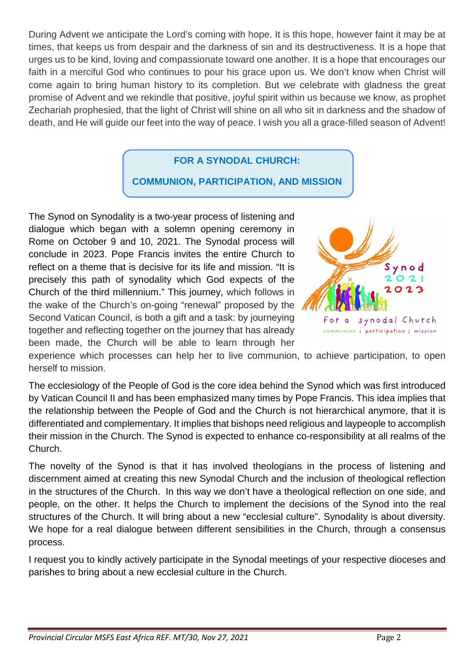During Advent we anticipate the Lord's coming with hope. It is this hope, however faint it may be at times, that keeps us from despair and the darkness of sin and its destructiveness. It is a hope that urges us to be kind, loving and compassionate toward one another. It is a hope that encourages our faith in a merciful God who continues to pour his grace upon us. We don't know when Christ will come again to bring human history to its completion. But we celebrate with gladness the great promise of Advent and we rekindle that positive, joyful spirit within us because we know, as prophet Zechariah prophesied, that the light of Christ will shine on all who sit in darkness and the shadow of death, and He will guide our feet into the way of peace. I wish you all a grace-filled season of Advent!

# **FOR A SYNODAL CHURCH:**

# **COMMUNION, PARTICIPATION, AND MISSION**

The Synod on Synodality is a two-year process of listening and dialogue which began with a solemn opening ceremony in Rome on October 9 and 10, 2021. The Synodal process will conclude in 2023. Pope Francis invites the entire Church to reflect on a theme that is decisive for its life and mission. "It is precisely this path of synodality which God expects of the Church of the third millennium." This journey, which follows in the wake of the Church's on-going "renewal" proposed by the Second Vatican Council, is both a gift and a task: by journeying together and reflecting together on the journey that has already been made, the Church will be able to learn through her



experience which processes can help her to live communion, to achieve participation, to open herself to mission.

The ecclesiology of the People of God is the core idea behind the Synod which was first introduced by Vatican Council II and has been emphasized many times by Pope Francis. This idea implies that the relationship between the People of God and the Church is not hierarchical anymore, that it is differentiated and complementary. It implies that bishops need religious and laypeople to accomplish their mission in the Church. The Synod is expected to enhance co-responsibility at all realms of the Church.

The novelty of the Synod is that it has involved theologians in the process of listening and discernment aimed at creating this new Synodal Church and the inclusion of theological reflection in the structures of the Church. In this way we don't have a theological reflection on one side, and people, on the other. It helps the Church to implement the decisions of the Synod into the real structures of the Church. It will bring about a new "ecclesial culture". Synodality is about diversity. We hope for a real dialogue between different sensibilities in the Church, through a consensus process.

I request you to kindly actively participate in the Synodal meetings of your respective dioceses and parishes to bring about a new ecclesial culture in the Church.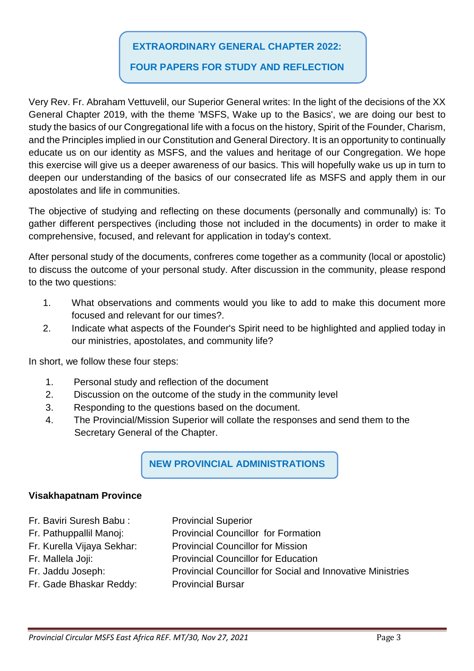## **EXTRAORDINARY GENERAL CHAPTER 2022:**

# **FOUR PAPERS FOR STUDY AND REFLECTION**

Very Rev. Fr. Abraham Vettuvelil, our Superior General writes: In the light of the decisions of the XX General Chapter 2019, with the theme 'MSFS, Wake up to the Basics', we are doing our best to study the basics of our Congregational life with a focus on the history, Spirit of the Founder, Charism, and the Principles implied in our Constitution and General Directory. It is an opportunity to continually educate us on our identity as MSFS, and the values and heritage of our Congregation. We hope this exercise will give us a deeper awareness of our basics. This will hopefully wake us up in turn to deepen our understanding of the basics of our consecrated life as MSFS and apply them in our apostolates and life in communities.

The objective of studying and reflecting on these documents (personally and communally) is: To gather different perspectives (including those not included in the documents) in order to make it comprehensive, focused, and relevant for application in today's context.

After personal study of the documents, confreres come together as a community (local or apostolic) to discuss the outcome of your personal study. After discussion in the community, please respond to the two questions:

- 1. What observations and comments would you like to add to make this document more focused and relevant for our times?.
- 2. Indicate what aspects of the Founder's Spirit need to be highlighted and applied today in our ministries, apostolates, and community life?

In short, we follow these four steps:

- 1. Personal study and reflection of the document
- 2. Discussion on the outcome of the study in the community level
- 3. Responding to the questions based on the document.
- 4. The Provincial/Mission Superior will collate the responses and send them to the Secretary General of the Chapter.

**NEW PROVINCIAL ADMINISTRATIONS** 

## **Visakhapatnam Province**

- Fr. Baviri Suresh Babu : Provincial Superior
- Fr. Pathuppallil Manoj: Provincial Councillor for Formation
- 
- 
- 
- 
- Fr. Kurella Vijaya Sekhar: Provincial Councillor for Mission
- Fr. Mallela Joji: Provincial Councillor for Education
- Fr. Jaddu Joseph: Provincial Councillor for Social and Innovative Ministries
- Fr. Gade Bhaskar Reddy: Provincial Bursar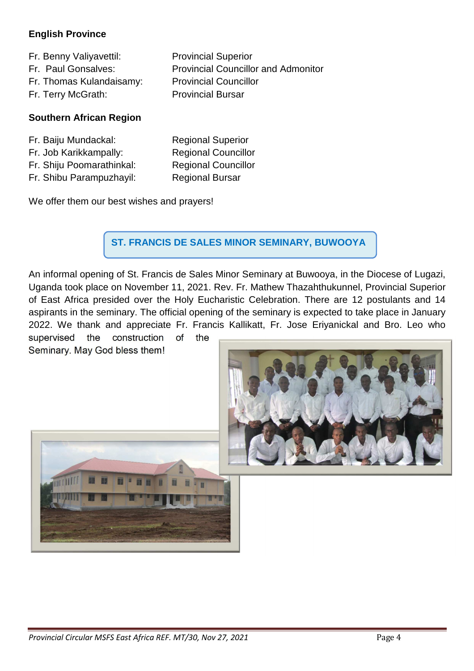## **English Province**

Fr. Benny Valiyavettil: Provincial Superior Fr. Paul Gonsalves: Provincial Councillor and Admonitor Fr. Thomas Kulandaisamy: Provincial Councillor Fr. Terry McGrath: Provincial Bursar

## **Southern African Region**

| Fr. Baiju Mundackal:      | <b>Regional Superior</b>   |
|---------------------------|----------------------------|
| Fr. Job Karikkampally:    | <b>Regional Councillor</b> |
| Fr. Shiju Poomarathinkal: | <b>Regional Councillor</b> |
| Fr. Shibu Parampuzhayil:  | <b>Regional Bursar</b>     |

We offer them our best wishes and prayers!

 **ST. FRANCIS DE SALES MINOR SEMINARY, BUWOOYA** 

An informal opening of St. Francis de Sales Minor Seminary at Buwooya, in the Diocese of Lugazi, Uganda took place on November 11, 2021. Rev. Fr. Mathew Thazahthukunnel, Provincial Superior of East Africa presided over the Holy Eucharistic Celebration. There are 12 postulants and 14 aspirants in the seminary. The official opening of the seminary is expected to take place in January 2022. We thank and appreciate Fr. Francis Kallikatt, Fr. Jose Eriyanickal and Bro. Leo who supervised the construction of the

Seminary. May God bless them!



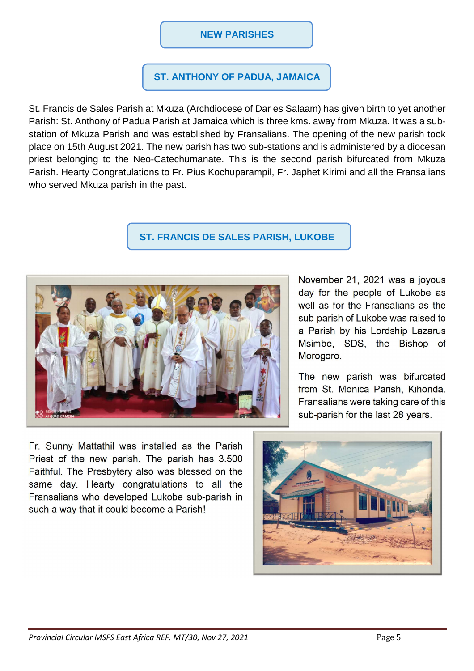## **NEW PARISHES**

## **ST. ANTHONY OF PADUA, JAMAICA**

St. Francis de Sales Parish at Mkuza (Archdiocese of Dar es Salaam) has given birth to yet another Parish: St. Anthony of Padua Parish at Jamaica which is three kms. away from Mkuza. It was a substation of Mkuza Parish and was established by Fransalians. The opening of the new parish took place on 15th August 2021. The new parish has two sub-stations and is administered by a diocesan priest belonging to the Neo-Catechumanate. This is the second parish bifurcated from Mkuza Parish. Hearty Congratulations to Fr. Pius Kochuparampil, Fr. Japhet Kirimi and all the Fransalians who served Mkuza parish in the past.

## **ST. FRANCIS DE SALES PARISH, LUKOBE**



November 21, 2021 was a joyous day for the people of Lukobe as well as for the Fransalians as the sub-parish of Lukobe was raised to a Parish by his Lordship Lazarus Msimbe, SDS, the Bishop of Morogoro.

The new parish was bifurcated from St. Monica Parish, Kihonda. Fransalians were taking care of this sub-parish for the last 28 years.

Fr. Sunny Mattathil was installed as the Parish Priest of the new parish. The parish has 3.500 Faithful. The Presbytery also was blessed on the same day. Hearty congratulations to all the Fransalians who developed Lukobe sub-parish in such a way that it could become a Parish!

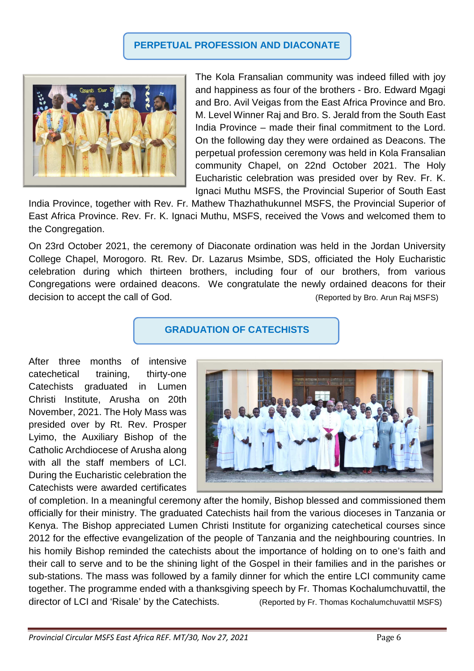# **PERPETUAL PROFESSION AND DIACONATE**



The Kola Fransalian community was indeed filled with joy and happiness as four of the brothers - Bro. Edward Mgagi and Bro. Avil Veigas from the East Africa Province and Bro. M. Level Winner Raj and Bro. S. Jerald from the South East India Province – made their final commitment to the Lord. On the following day they were ordained as Deacons. The perpetual profession ceremony was held in Kola Fransalian community Chapel, on 22nd October 2021. The Holy Eucharistic celebration was presided over by Rev. Fr. K. Ignaci Muthu MSFS, the Provincial Superior of South East

India Province, together with Rev. Fr. Mathew Thazhathukunnel MSFS, the Provincial Superior of East Africa Province. Rev. Fr. K. Ignaci Muthu, MSFS, received the Vows and welcomed them to the Congregation.

On 23rd October 2021, the ceremony of Diaconate ordination was held in the Jordan University College Chapel, Morogoro. Rt. Rev. Dr. Lazarus Msimbe, SDS, officiated the Holy Eucharistic celebration during which thirteen brothers, including four of our brothers, from various Congregations were ordained deacons. We congratulate the newly ordained deacons for their decision to accept the call of God. (Reported by Bro. Arun Raj MSFS)

#### **GRADUATION OF CATECHISTS**

After three months of intensive catechetical training, thirty-one Catechists graduated in Lumen Christi Institute, Arusha on 20th November, 2021. The Holy Mass was presided over by Rt. Rev. Prosper Lyimo, the Auxiliary Bishop of the Catholic Archdiocese of Arusha along with all the staff members of LCI. During the Eucharistic celebration the Catechists were awarded certificates



of completion. In a meaningful ceremony after the homily, Bishop blessed and commissioned them officially for their ministry. The graduated Catechists hail from the various dioceses in Tanzania or Kenya. The Bishop appreciated Lumen Christi Institute for organizing catechetical courses since 2012 for the effective evangelization of the people of Tanzania and the neighbouring countries. In his homily Bishop reminded the catechists about the importance of holding on to one's faith and their call to serve and to be the shining light of the Gospel in their families and in the parishes or sub-stations. The mass was followed by a family dinner for which the entire LCI community came together. The programme ended with a thanksgiving speech by Fr. Thomas Kochalumchuvattil, the director of LCI and 'Risale' by the Catechists. (Reported by Fr. Thomas Kochalumchuvattil MSFS)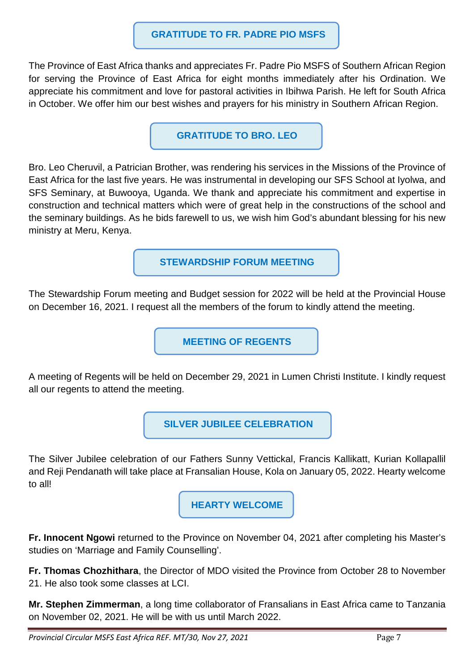#### **GRATITUDE TO FR. PADRE PIO MSFS**

The Province of East Africa thanks and appreciates Fr. Padre Pio MSFS of Southern African Region for serving the Province of East Africa for eight months immediately after his Ordination. We appreciate his commitment and love for pastoral activities in Ibihwa Parish. He left for South Africa in October. We offer him our best wishes and prayers for his ministry in Southern African Region.

**GRATITUDE TO BRO. LEO** 

Bro. Leo Cheruvil, a Patrician Brother, was rendering his services in the Missions of the Province of East Africa for the last five years. He was instrumental in developing our SFS School at Iyolwa, and SFS Seminary, at Buwooya, Uganda. We thank and appreciate his commitment and expertise in construction and technical matters which were of great help in the constructions of the school and the seminary buildings. As he bids farewell to us, we wish him God's abundant blessing for his new ministry at Meru, Kenya.

**STEWARDSHIP FORUM MEETING** 

The Stewardship Forum meeting and Budget session for 2022 will be held at the Provincial House on December 16, 2021. I request all the members of the forum to kindly attend the meeting.

**MEETING OF REGENTS** 

A meeting of Regents will be held on December 29, 2021 in Lumen Christi Institute. I kindly request all our regents to attend the meeting.

 **SILVER JUBILEE CELEBRATION** 

The Silver Jubilee celebration of our Fathers Sunny Vettickal, Francis Kallikatt, Kurian Kollapallil and Reji Pendanath will take place at Fransalian House, Kola on January 05, 2022. Hearty welcome to all!

**HEARTY WELCOME** 

**Fr. Innocent Ngowi** returned to the Province on November 04, 2021 after completing his Master's studies on 'Marriage and Family Counselling'.

**Fr. Thomas Chozhithara**, the Director of MDO visited the Province from October 28 to November 21. He also took some classes at LCI.

**Mr. Stephen Zimmerman**, a long time collaborator of Fransalians in East Africa came to Tanzania on November 02, 2021. He will be with us until March 2022.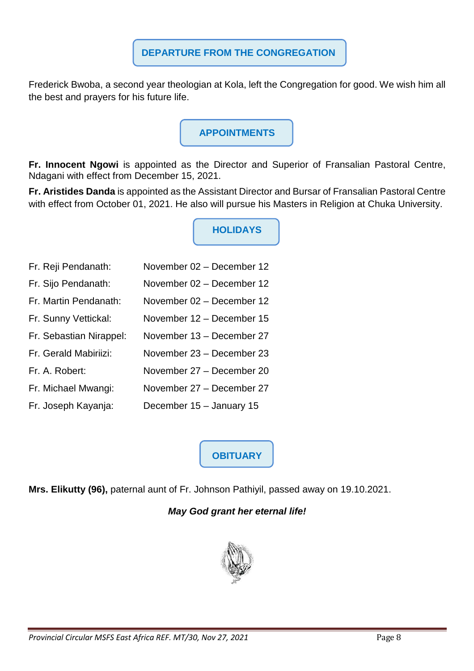Frederick Bwoba, a second year theologian at Kola, left the Congregation for good. We wish him all the best and prayers for his future life.

# **APPOINTMENTS**

**Fr. Innocent Ngowi** is appointed as the Director and Superior of Fransalian Pastoral Centre, Ndagani with effect from December 15, 2021.

**Fr. Aristides Danda** is appointed as the Assistant Director and Bursar of Fransalian Pastoral Centre with effect from October 01, 2021. He also will pursue his Masters in Religion at Chuka University.

**HOLIDAYS** 

- Fr. Reji Pendanath: November 02 December 12 Fr. Sijo Pendanath: November 02 – December 12 Fr. Martin Pendanath: November 02 – December 12 Fr. Sunny Vettickal: November 12 – December 15 Fr. Sebastian Nirappel: November 13 – December 27 Fr. Gerald Mabiriizi: November 23 – December 23 Fr. A. Robert: November 27 – December 20
- Fr. Michael Mwangi: November 27 December 27
- Fr. Joseph Kayanja: December 15 January 15

**OBITUARY**

**Mrs. Elikutty (96),** paternal aunt of Fr. Johnson Pathiyil, passed away on 19.10.2021.

# **May God grant her eternal life!**